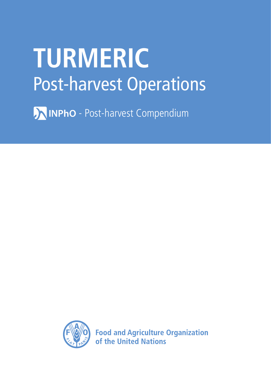# **TURMERIC** Post-harvest Operations

MINPhO - Post-harvest Compendium



**Food and Agriculture Organization** of the United Nations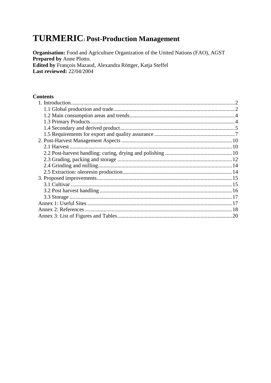# **TURMERIC: Post-Production Management**

Organisation: Food and Agriculture Organization of the United Nations (FAO), AGST Prepared by Anne Plotto. Edited by François Mazaud, Alexandra Röttger, Katja Steffel Last reviewed: 22/04/2004

#### **Contents**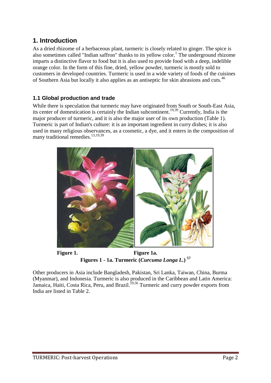# <span id="page-2-0"></span>**1. Introduction**

As a dried rhizome of a herbaceous plant, turmeric is closely related to ginger. The spice is also sometimes called "Indian saffron" thanks to its yellow color.<sup>1</sup> The underground rhizome imparts a distinctive flavor to food but it is also used to provide food with a deep, indelible orange color. In the form of this fine, dried, yellow powder, turmeric is mostly sold to customers in developed countries. Turmeric is used in a wide variety of foods of the cuisines of Southern Asia but locally it also applies as an antiseptic for skin abrasions and cuts.<sup>46</sup>

# <span id="page-2-1"></span>**1.1 Global production and trade**

While there is speculation that turmeric may have originated from South or South-East Asia, its center of domestication is certainly the Indian subcontinent.<sup>19,39</sup> Currently, India is the major producer of turmeric, and it is also the major user of its own production (Table 1). Turmeric is part of Indian's culture: it is an important ingredient in curry dishes; it is also used in many religious observances, as a cosmetic, a dye, and it enters in the composition of many traditional remedies.<sup>13,19,39</sup>



**Figure 1. Figure 1a. Figures 1 - 1a. Turmeric (***Curcuma Longa L.***) <sup>57</sup>**

Other producers in Asia include Bangladesh, Pakistan, Sri Lanka, Taiwan, China, Burma (Myanmar), and Indonesia. Turmeric is also produced in the Caribbean and Latin America: Jamaica, Haiti, Costa Rica, Peru, and Brazil.<sup>19,56</sup> Turmeric and curry powder exports from India are listed in Table 2.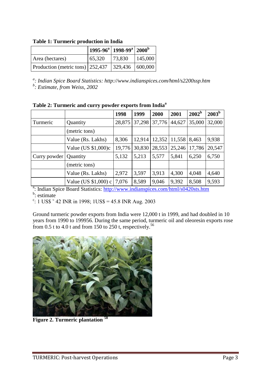**Table 1: Turmeric production in India**

|                                                      |        | $ 1995-96^a 1998-99^a 2000^b$ |         |
|------------------------------------------------------|--------|-------------------------------|---------|
| Area (hectares)                                      | 65,320 | 73,830                        | 145,000 |
| Production (metric tons) 252,437   329,436   600,000 |        |                               |         |

*a : Indian Spice Board Statistics: http://www.indianspices.com/html/s2200ssp.htm*

*b : Estimate, from Weiss, 2002*

|              |                        | 1998   | 1999   | 2000   | 2001   | $2002^b$ | 2003 <sup>b</sup> |
|--------------|------------------------|--------|--------|--------|--------|----------|-------------------|
| Turmeric     | Quantity               | 28,875 | 37,298 | 37,776 | 44,627 | 35,000   | 32,000            |
|              | (metric tons)          |        |        |        |        |          |                   |
|              | Value (Rs. Lakhs)      | 8,306  | 12,914 | 12,352 | 11,558 | 8,463    | 9,938             |
|              | Value (US $$1,000$ )c  | 19,776 | 30,830 | 28,553 | 25,246 | 17,786   | 20,547            |
| Curry powder | Quantity               | 5,132  | 5,213  | 5,577  | 5,841  | 6,250    | 6,750             |
|              | (metric tons)          |        |        |        |        |          |                   |
|              | Value (Rs. Lakhs)      | 2,972  | 3,597  | 3,913  | 4,300  | 4,048    | 4,640             |
|              | Value (US $$1,000$ ) c | 7,076  | 8,589  | 9,046  | 9,392  | 8,508    | 9,593             |

<sup>a</sup>: Indian Spice Board Statistics: <http://www.indianspices.com/html/s0420sts.htm> <sup>b</sup>: estimate

 $\frac{\text{c}}{\text{c}}$ : 1 US\$ ~ 42 INR in 1998; 1US\$ = 45.8 INR Aug. 2003

Ground turmeric powder exports from India were 12,000 t in 1999, and had doubled in 10 years from 1990 to 199956. During the same period, turmeric oil and oleoresin exports rose from  $0.5$  t to  $4.0$  t and from 150 to  $250$  t, respectively.<sup>56</sup>



**Figure 2. Turmeric plantation <sup>58</sup>**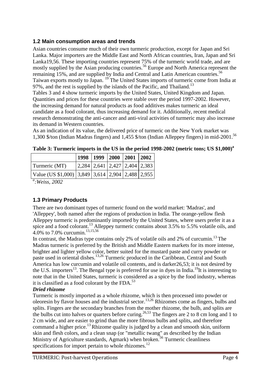## <span id="page-4-0"></span>**1.2 Main consumption areas and trends**

Asian countries consume much of their own turmeric production, except for Japan and Sri Lanka. Major importers are the Middle East and North African countries, Iran, Japan and Sri Lanka19,56. These importing countries represent 75% of the turmeric world trade, and are mostly supplied by the Asian producing countries.<sup>56</sup> Europe and North America represent the remaining 15%, and are supplied by India and Central and Latin American countries.<sup>56</sup> Taiwan exports mostly to Japan. <sup>19</sup> The United States imports of turmeric come from India at 97%, and the rest is supplied by the islands of the Pacific, and Thailand.<sup>13</sup> Tables 3 and 4 show turmeric imports by the United States, United Kingdom and Japan. Quantities and prices for these countries were stable over the period 1997-2002. However, the increasing demand for natural products as food additives makes turmeric an ideal candidate as a food colorant, thus increasing demand for it. Additionally, recent medical research demonstrating the anti-cancer and anti-viral activities of turmeric may also increase its demand in Western countries.

As an indication of its value, the delivered price of turmeric on the New York market was 1,300 \$/ton (Indian Madras fingers) and 1,455 \$/ton (Indian Alleppey fingers) in mid-2001.<sup>56</sup>

|                                                    | 1998   1999   2000   2001   2002 |  |                                                                     |
|----------------------------------------------------|----------------------------------|--|---------------------------------------------------------------------|
| Turmeric (MT)                                      |                                  |  | $\vert 2,284 \vert 2,641 \vert 2,427 \vert 2,404 \vert 2,383 \vert$ |
| Value (US $$1,000$ ) 3,849 3,614 2,904 2,488 2,955 |                                  |  |                                                                     |

**Table 3: Turmeric imports in the US in the period 1998-2002 (metric tons; US \$1,000)<sup>a</sup>**

*a :Weiss, 2002*

# <span id="page-4-1"></span>**1.3 Primary Products**

There are two dominant types of turmeric found on the world market: 'Madras', and 'Alleppey', both named after the regions of production in India. The orange-yellow flesh Alleppey turmeric is predominantly imported by the United States, where users prefer it as a spice and a food colorant.<sup>13</sup> Alleppey turmeric contains about 3.5% to 5.5% volatile oils, and 4.0% to 7.0% curcumin.13,15,56

In contrast, the Madras type contains only 2% of volatile oils and 2% of curcumin.<sup>13</sup> The Madras turmeric is preferred by the British and Middle Eastern markets for its more intense, brighter and lighter yellow color, better suited for the mustard paste and curry powder or paste used in oriental dishes.13,26 Turmeric produced in the Caribbean, Central and South America has low curcumin and volatile oil contents, and is darker26,53; it is not desired by the U.S. importers<sup>13</sup>. The Bengal type is preferred for use in dyes in India.<sup>19</sup>It is interesting to note that in the United States, turmeric is considered as a spice by the food industry, whereas it is classified as a food colorant by the FDA. $^{53}$ 

#### *Dried rhizome*

Turmeric is mostly imported as a whole rhizome, which is then processed into powder or oleoresin by flavor houses and the industrial sector.<sup>13,26</sup> Rhizomes come as fingers, bulbs and splits. Fingers are the secondary branches from the mother rhizome, the bulb, and splits are the bulbs cut into halves or quarters before curing.<sup>26,53</sup> The fingers are 2 to 8 cm long and 1 to 2 cm wide, and are easier to grind than the more fibrous bulbs and splits, and therefore command a higher price.<sup>13</sup> Rhizome quality is judged by a clean and smooth skin, uniform skin and flesh colors, and a clean snap (or "metallic twang" as described by the Indian Ministry of Agriculture standards, Agmark) when broken.<sup>56</sup> Turmeric cleanliness specifications for import pertain to whole rhizomes.<sup>12</sup>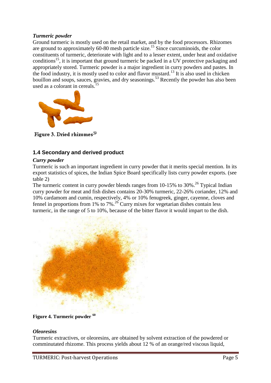#### *Turmeric powder*

Ground turmeric is mostly used on the retail market, and by the food processors. Rhizomes are ground to approximately 60-80 mesh particle size.<sup>15</sup> Since curcuminoids, the color constituents of turmeric, deteriorate with light and to a lesser extent, under heat and oxidative conditions<sup>15</sup>, it is important that ground turmeric be packed in a UV protective packaging and appropriately stored. Turmeric powder is a major ingredient in curry powders and pastes. In the food industry, it is mostly used to color and flavor mustard.<sup>13</sup> It is also used in chicken bouillon and soups, sauces, gravies, and dry seasonings.<sup>53</sup> Recently the powder has also been used as a colorant in cereals.<sup>15</sup>



Figure 3. Dried rhizomes<sup>39</sup>

## <span id="page-5-0"></span>**1.4 Secondary and derived product**

#### *Curry powder*

Turmeric is such an important ingredient in curry powder that it merits special mention. In its export statistics of spices, the Indian Spice Board specifically lists curry powder exports. (see table 2)

The turmeric content in curry powder blends ranges from  $10-15\%$  to  $30\%$ .<sup>26</sup> Typical Indian curry powder for meat and fish dishes contains 20-30% turmeric, 22-26% coriander, 12% and 10% cardamom and cumin, respectively, 4% or 10% fenugreek, ginger, cayenne, cloves and fennel in proportions from 1% to 7%.<sup>26</sup> Curry mixes for vegetarian dishes contain less turmeric, in the range of 5 to 10%, because of the bitter flavor it would impart to the dish.



**Figure 4. Turmeric powder <sup>60</sup>**

#### *Oleoresins*

Turmeric extractives, or oleoresins, are obtained by solvent extraction of the powdered or comminutated rhizome. This process yields about 12 % of an orange/red viscous liquid,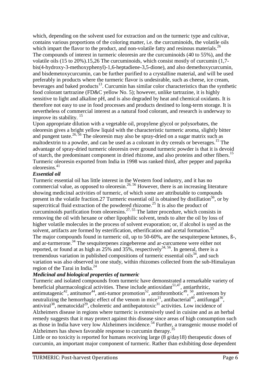which, depending on the solvent used for extraction and on the turmeric type and cultivar, contains various proportions of the coloring matter, i.e. the curcuminoids, the volatile oils which impart the flavor to the product, and non-volatile fatty and resinous materials.<sup>26</sup> The compounds of interest in turmeric oleoresin are the curcuminoids (40 to 55%), and the volatile oils (15 to 20%).15,26 The curcuminoids, which consist mostly of curcumin (1,7 bis(4-hydroxy-3-methoxyphenyl)-1,6-heptadiene-3,5-dione), and also demethoxycurcumin, and bisdemetoxycurcumin, can be further purified to a crystalline material, and will be used preferably in products where the turmeric flavor is undesirable, such as cheese, ice cream, beverages and baked products<sup>13</sup>. Curcumin has similar color characteristics than the synthetic food colorant tartrazine (FD&C yellow No. 5); however, unlike tartrazine, it is highly sensitive to light and alkaline pH, and is also degraded by heat and chemical oxidants. It is therefore not easy to use in food processes and products destined to long-term storage. It is nevertheless of commercial interest as a natural food colorant, and research is underway to improve its stability.<sup>15</sup>

Upon appropriate dilution with a vegetable oil, propylene glycol or polysorbates, the oleoresin gives a bright yellow liquid with the characteristic turmeric aroma, slightly bitter and pungent taste.<sup>26, 56</sup> The oleoresin may also be spray-dried on a sugar matrix such as maltodextrin to a powder, and can be used as a colorant in dry cereals or beverages.<sup>15</sup> The advantage of spray-dried turmeric oleoresin over ground turmeric powder is that it is devoid of starch, the predominant component in dried rhizome, and also proteins and other fibers.<sup>15</sup> Turmeric oleoresin exported from India in 1998 was ranked third, after pepper and paprika oleoresins.<sup>41</sup>

#### *Essential oil*

Turmeric essential oil has little interest in the Western food industry, and it has no commercial value, as opposed to oleoresin.<sup>26, 56</sup> However, there is an increasing literature showing medicinal activities of turmeric, of which some are attributable to compounds present in the volatile fraction.27 Turmeric essential oil is obtained by distillation<sup>56</sup>, or by supercritical fluid extraction of the powdered rhizome.<sup>25</sup> It is also the product of curcuminoids purification from oleoresins.<sup>27, 55</sup> The latter procedure, which consists in removing the oil with hexane or other lipophilic solvent, tends to alter the oil by loss of higher volatile molecules in the process of solvent evaporation; or, if alcohol is used as the solvent, artifacts are formed by esterification, etherification and acetal formation.<sup>25</sup> The major compounds found in turmeric oil, up to 50-60%, are the sesquiterpene ketones, ß-, and ar-turmerone.<sup>34</sup> The sesquiterpenes zingeberene and ar-curcumene were either not reported, or found at as high as 25% and 35%, respectively<sup>34, 56</sup>. In general, there is a tremendous variation in published compositions of turmeric essential oils<sup>34</sup>, and such variation was also observed in one study, within rhizomes collected from the sub-Himalayan region of the Tarai in India.<sup>24</sup>

#### *Medicinal and biological properties of turmeric*

Turmeric and isolated compounds from turmeric have demonstrated a remarkable variety of beneficial pharmacological activities. These include antioxidant<sup>51,47</sup>, antiarthritic, antimutagenic<sup>42</sup>, antitumor<sup>44</sup>, anti-tumor promotion<sup>52</sup>, antithrombotic<sup>49</sup>, <sup>50</sup>, antivenom by neutralizing the hemorrhagic effect of the venom in mice<sup>21</sup>, antibacterial<sup>40</sup>, antifungal<sup>36</sup>, antiviral<sup>38</sup>, nematocidal<sup>29</sup>, choleretic and antihepatotoxic<sup>31</sup> activities. Low incidence of Alzheimers disease in regions where turmeric is extensively used in cuisine and as an herbal remedy suggests that it may protect against this disease since areas of high consumption such as those in India have very low Alzheimers incidence.<sup>54</sup> Further, a transgenic mouse model of Alzheimers has shown favorable response to curcumin therapy.<sup>35</sup>

Little or no toxicity is reported for humans receiving large (8 g/day18) therapeutic doses of curcumin, an important major component of turmeric. Rather than exhibiting dose dependent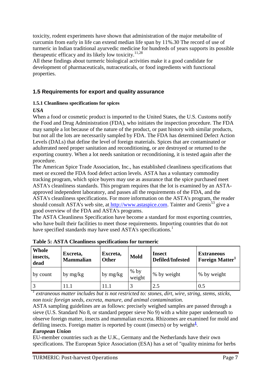toxicity, rodent experiments have shown that administration of the major metabolite of curcumin from early in life can extend median life span by 11%.30 The record of use of turmeric in Indian traditional ayurvedic medicine for hundreds of years supports its possible therapeutic efficacy and its likely low toxicity.<sup>11,28</sup>

All these findings about turmeric biological activities make it a good candidate for development of pharmaceuticals, nutraceuticals, or food ingredients with functional properties.

## <span id="page-7-0"></span>**1.5 Requirements for export and quality assurance**

#### **1.5.1 Cleanliness specifications for spices**

#### *USA*

When a food or cosmetic product is imported to the United States, the U.S. Customs notify the Food and Drug Administration (FDA), who initiates the inspection procedure. The FDA may sample a lot because of the nature of the product, or past history with similar products, but not all the lots are necessarily sampled by FDA. The FDA has determined Defect Action Levels (DALs) that define the level of foreign materials. Spices that are contaminated or adulterated need proper sanitation and reconditioning, or are destroyed or returned to the exporting country. When a lot needs sanitation or reconditioning, it is tested again after the procedure.

The American Spice Trade Association, Inc., has established cleanliness specifications that meet or exceed the FDA food defect action levels. ASTA has a voluntary commodity tracking program, which spice buyers may use as assurance that the spice purchased meet ASTA's cleanliness standards. This program requires that the lot is examined by an ASTAapproved independent laboratory, and passes all the requirements of the FDA, and the ASTA's cleanliness specifications. For more information on the ASTA's program, the reader should consult ASTA's web site, at [http://www.astaspice.com.](http://www.astaspice.com/) Tainter and Grenis<sup>53</sup> give a good overview of the FDA and ASTA's programs.

The ASTA Cleanliness Specification have become a standard for most exporting countries, who have built their facilities to meet those requirements. Importing countries that do not have specified standards may have used ASTA's specifications.<sup>1</sup>

| Whole<br>insects,<br>dead | Excreta,<br><b>Mammalian</b> | Excreta,<br>Other | Mold             | <b>Insect</b><br><b>Defiled/Infested</b> | <b>Extraneous</b><br>Foreign Matter |
|---------------------------|------------------------------|-------------------|------------------|------------------------------------------|-------------------------------------|
| by count                  | by $mg/kg$                   | by mg/kg          | $%$ by<br>weight | % by weight                              | % by weight                         |
|                           | 11.1                         | 11.1              |                  | 2.5                                      | 0.5                                 |

**Table 5: ASTA Cleanliness specifications for turmeric**

*1 extraneous matter includes but is not restricted to: stones, dirt, wire, string, stems, sticks, non toxic foreign seeds, excreta, manure, and animal contamination.*

ASTA sampling guidelines are as follows: precisely weighed samples are passed through a sieve (U.S. Standard No 8, or standard pepper sieve No 9) with a white paper underneath to observe foreign matter, insects and mammalian excreta. Rhizomes are examined for mold and defiling insects. Foreign matter is reported by count (insects) or by weight<sup>[1](http://www.fao.org/inpho/content/compend/text/ch29/ch29.htm#note1)</sup>.

#### *European Union*

EU-member countries such as the U.K., Germany and the Netherlands have their own specifications. The European Spice Association (ESA) has a set of "quality minima for herbs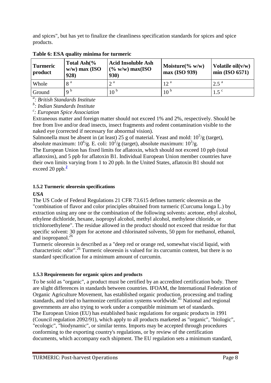and spices", but has yet to finalize the cleanliness specification standards for spices and spice products.

| Turmeric<br>  product | Total Ash $\frac{6}{6}$<br>$w/w$ ) max (ISO<br>928) | <b>Acid Insoluble Ash</b><br>$(\% w/w)$ max(ISO<br><b>930)</b> | Moisture( $\%$ w/w)<br>max (ISO 939) | Volatile $oil(v/w)$<br>$\text{min}$ (ISO 6571) |
|-----------------------|-----------------------------------------------------|----------------------------------------------------------------|--------------------------------------|------------------------------------------------|
| Whole                 | 8 <sup>a</sup>                                      | $\gamma$ a                                                     | 12 <sup>a</sup>                      | $2.5^{\text{a}}$                               |
| Ground                | Q <sub>b</sub>                                      | 10 <sup>b</sup>                                                | 10 <sup>b</sup>                      | 1.5 <sup>c</sup>                               |

**Table 6: ESA quality minima for turmeric**

*a : British Standards Institute*

*b : Indian Standards Institute*

*c : European Spice Association*

Extraneous matter and foreign matter should not exceed 1% and 2%, respectively. Should be free from live and/or dead insects, insect fragments and rodent contamination visible to the naked eye (corrected if necessary for abnormal vision).

Salmonella must be absent in (at least) 25 g of material. Yeast and mold:  $10^5/g$  (target), absolute maximum:  $10^6$ /g. E. coli:  $10^2$ /g (target), absolute maximum:  $10^3$ /g.

The European Union has fixed limits for aflatoxin, which should not exceed 10 ppb (total aflatoxins), and 5 ppb for aflatoxin B1. Individual European Union member countries have their own limits varying from 1 to 20 ppb. In the United States, aflatoxin B1 should not exceed [2](http://www.fao.org/inpho/content/compend/text/ch29/ch29.htm#note2)0  $ppb.<sup>2</sup>$ 

#### **1.5.2 Turmeric oleoresin specifications**

*USA*

The US Code of Federal Regulations 21 CFR 73.615 defines turmeric oleoresin as the "combination of flavor and color principles obtained from turmeric (Curcuma longa L.) by extraction using any one or the combination of the following solvents: acetone, ethyl alcohol, ethylene dichloride, hexane, isopropyl alcohol, methyl alcohol, methylene chloride, or trichloroethylene". The residue allowed in the product should not exceed that residue for that specific solvent: 30 ppm for acetone and chlorinated solvents, 50 ppm for methanol, ethanol, and isopropanol. $^{26}$ 

Turmeric oleoresin is described as a "deep red or orange red, somewhat viscid liquid, with characteristic odor".<sup>26</sup> Turmeric oleoresin is valued for its curcumin content, but there is no standard specification for a minimum amount of curcumin.

#### **1.5.3 Requirements for organic spices and products**

To be sold as "organic", a product must be certified by an accredited certification body. There are slight differences in standards between countries. IFOAM, the International Federation of Organic Agriculture Movement, has established organic production, processing and trading standards, and tried to harmonize certification systems worldwide.<sup>45</sup> National and regional governments are also trying to work under a compatible minimum set of standards. The European Union (EU) has established basic regulations for organic products in 1991 (Council regulation 2092/91), which apply to all products marketed as "organic", "biologic", "ecologic", "biodynamic", or similar terms. Imports may be accepted through procedures conforming to the exporting country's regulations, or by review of the certification documents, which accompany each shipment. The EU regulation sets a minimum standard,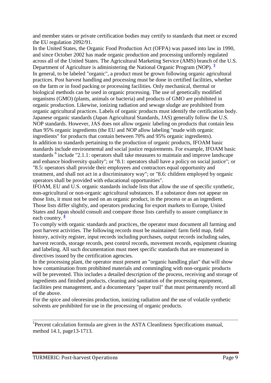and member states or private certification bodies may certify to standards that meet or exceed the EU regulation 2092/91.

In the United States, the Organic Food Production Act (OFPA) was passed into law in 1990, and since October 2002 has made organic production and processing uniformly regulated across all of the United States. The Agricultural Marketing Service (AMS) branch of the U.S. Department of Agriculture is administering the National Organic Program (NOP). **[3](http://www.fao.org/inpho/content/compend/text/ch29/ch29.htm#note3)** In general, to be labeled "organic", a product must be grown following organic agricultural practices. Post harvest handling and processing must be done in certified facilities, whether on the farm or in food packing or processing facilities. Only mechanical, thermal or biological methods can be used in organic processing. The use of genetically modified organisms (GMO) (plants, animals or bacteria) and products of GMO are prohibited in organic production. Likewise, ionizing radiation and sewage sludge are prohibited from organic agricultural practices. Labels of organic products must identify the certification body. Japanese organic standards (Japan Agricultural Standards, JAS) generally follow the U.S. NOP standards. However, JAS does not allow organic labeling on products that contain less than 95% organic ingredients (the EU and NOP allow labeling "made with organic ingredients" for products that contain between 70% and 95% organic ingredients). In addition to standards pertaining to the production of organic products, IFOAM basic standards include environmental and social justice requirements. For example, IFOAM basic standards <sup>6</sup> include "2.1.1: operators shall take measures to maintain and improve landscape and enhance biodiversity quality"; or "8.1: operators shall have a policy on social justice"; or "8.5: operators shall provide their employees and contractors equal opportunity and treatment, and shall not act in a discriminatory way"; or "8.6: children employed by organic operators shall be provided with educational opportunities".

IFOAM, EU and U.S. organic standards include lists that allow the use of specific synthetic, non-agricultural or non-organic agricultural substances. If a substance does not appear on those lists, it must not be used on an organic product, in the process or as an ingredient. Those lists differ slightly, and operators producing for export markets to Europe, United States and Japan should consult and compare those lists carefully to assure compliance in each country.**<sup>4</sup>**

To comply with organic standards and practices, the operator must document all farming and post harvest activities. The following records must be maintained: farm field map, field history, activity register, input records including purchases, output records including sales, harvest records, storage records, pest control records, movement records, equipment cleaning and labeling. All such documentation must meet specific standards that are enumerated in directives issued by the certification agencies.

In the processing plant, the operator must present an "organic handling plan" that will show how contamination from prohibited materials and commingling with non-organic products will be prevented. This includes a detailed description of the process, receiving and storage of ingredients and finished products, cleaning and sanitation of the processing equipment, facilities pest management, and a documentary "paper trail" that must permanently record all of the above.

For the spice and oleoresins production, ionizing radiation and the use of volatile synthetic solvents are prohibited for use in the processing of organic products.

<sup>1</sup>Percent calculation formula are given in the ASTA Cleanliness Specifications manual, method 14.1, page13-1713.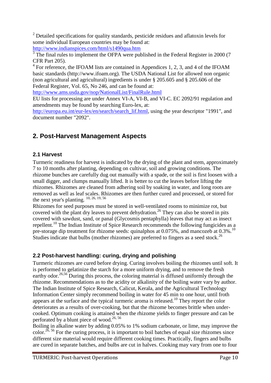$2$  Detailed specifications for quality standards, pesticide residues and aflatoxin levels for some individual European countries may be found at:

<http://www.indianspices.com/html/s1490qua.htm><br><sup>3</sup> The final rules to implement the OFPA were published in the Federal Register in 2000 (7 CFR Part 205).

 $4$  For reference, the IFOAM lists are contained in Appendices 1, 2, 3, and 4 of the IFOAM basic standards (http://www.ifoam.org). The USDA National List for allowed non organic (non agricultural and agricultural) ingredients is under § 205.605 and § 205.606 of the Federal Register, Vol. 65, No 246, and can be found at:

<http://www.ams.usda.gov/nop/NationalList/FinalRule.html>

EU lists for processing are under Annex VI-A, VI-B, and VI-C. EC 2092/91 regulation and amendments may be found by searching Euro-lex, at:

[http://europa.eu.int/eur-lex/en/search/search\\_lif.html,](http://europa.eu.int/eur-lex/en/search/search_lif.html) using the year descriptor "1991", and document number "2092".

# <span id="page-10-0"></span>**2. Post-Harvest Management Aspects**

# <span id="page-10-1"></span>**2.1 Harvest**

Turmeric readiness for harvest is indicated by the drying of the plant and stem, approximately 7 to 10 months after planting, depending on cultivar, soil and growing conditions. The rhizome bunches are carefully dug out manually with a spade, or the soil is first loosen with a small digger, and clumps manually lifted. It is better to cut the leaves before lifting the rhizomes. Rhizomes are cleaned from adhering soil by soaking in water, and long roots are removed as well as leaf scales. Rhizomes are then further cured and processed, or stored for the next year's planting.  $\frac{10, 26, 19, 56}{10, 26, 19, 56}$ 

Rhizomes for seed purposes must be stored in well-ventilated rooms to minimize rot, but covered with the plant dry leaves to prevent dehydration.<sup>26</sup> They can also be stored in pits covered with sawdust, sand, or panal (Glycosmis pentaphylla) leaves that may act as insect repellent.<sup>10</sup> The Indian Institute of Spice Research recommends the following fungicides as a pre-storage dip treatment for rhizome seeds: quinalphos at  $0.075\%$ , and mancozeb at  $0.3\%$ .<sup>10</sup> Studies indicate that bulbs (mother rhizomes) are preferred to fingers as a seed stock.<sup>26</sup>

# <span id="page-10-2"></span>**2.2 Post-harvest handling: curing, drying and polishing**

Turmeric rhizomes are cured before drying. Curing involves boiling the rhizomes until soft. It is performed to gelatinize the starch for a more uniform drying, and to remove the fresh earthy odor.<sup>26,56</sup> During this process, the coloring material is diffused uniformly through the rhizome. Recommendations as to the acidity or alkalinity of the boiling water vary by author. The Indian Institute of Spice Research, Calicut, Kerala, and the Agricultural Technology Information Center simply recommend boiling in water for 45 min to one hour, until froth appears at the surface and the typical turmeric aroma is released.<sup>10</sup> They report the color deteriorates as a results of over-cooking, but that the rhizome becomes brittle when undercooked. Optimum cooking is attained when the rhizome yields to finger pressure and can be perforated by a blunt piece of wood.<sup>26, 56</sup>

Boiling in alkaline water by adding 0.05% to 1% sodium carbonate, or lime, may improve the color.<sup>26, 56</sup> For the curing process, it is important to boil batches of equal size rhizomes since different size material would require different cooking times. Practically, fingers and bulbs are cured in separate batches, and bulbs are cut in halves. Cooking may vary from one to four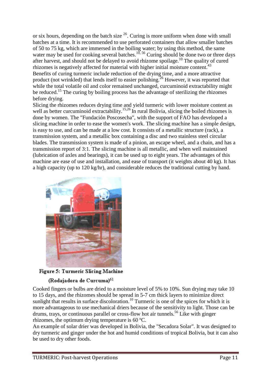or six hours, depending on the batch size  $^{26}$ . Curing is more uniform when done with small batches at a time. It is recommended to use perforated containers that allow smaller batches of 50 to 75 kg, which are immersed in the boiling water; by using this method, the same water may be used for cooking several batches.<sup>10, 56</sup> Curing should be done two or three days after harvest, and should not be delayed to avoid rhizome spoilage.<sup>10</sup> The quality of cured rhizomes is negatively affected for material with higher initial moisture content.<sup>43</sup> Benefits of curing turmeric include reduction of the drying time, and a more attractive product (not wrinkled) that lends itself to easier polishing.<sup>26</sup> However, it was reported that while the total volatile oil and color remained unchanged, curcuminoid extractability might be reduced.<sup>15</sup> The curing by boiling process has the advantage of sterilizing the rhizomes before drying.

Slicing the rhizomes reduces drying time and yield turmeric with lower moisture content as well as better curcuminoid extractability.<sup>15,26</sup> In rural Bolivia, slicing the boiled rhizomes is done by women. The "Fundación Poscosecha", with the support of FAO has developed a slicing machine in order to ease the women's work. The slicing machine has a simple design, is easy to use, and can be made at a low cost. It consists of a metallic structure (rack), a transmission system, and a metallic box containing a disc and two stainless steel circular blades. The transmission system is made of a pinion, an escape wheel, and a chain, and has a transmission report of 3:1. The slicing machine is all metallic, and when well maintained (lubrication of axles and bearings), it can be used up to eight years. The advantages of this machine are ease of use and installation, and ease of transport (it weights about 40 kg). It has a high capacity (up to 120 kg/hr), and considerable reduces the traditional cutting by hand.



**Figure 5: Turmeric Slicing Machine** 

#### (Rodajadora de Curcuma)<sup>61</sup>

Cooked fingers or bulbs are dried to a moisture level of 5% to 10%. Sun drying may take 10 to 15 days, and the rhizomes should be spread in 5-7 cm thick layers to minimize direct sunlight that results in surface discoloration.<sup>10</sup> Turmeric is one of the spices for which it is more advantageous to use mechanical driers because of the sensitivity to light. Those can be drums, trays, or continuous parallel or cross-flow hot air tunnels.<sup>56</sup> Like with ginger rhizomes, the optimum drying temperature is 60 ºC.

An example of solar drier was developed in Bolivia, the "Secadora Solar". It was designed to dry turmeric and ginger under the hot and humid conditions of tropical Bolivia, but it can also be used to dry other foods.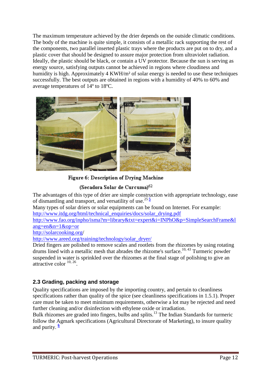The maximum temperature achieved by the drier depends on the outside climatic conditions. The body of the machine is quite simple, it consists of a metallic rack supporting the rest of the components, two parallel inserted plastic trays where the products are put on to dry, and a plastic cover that should be designed to assure major protection from ultraviolet radiation. Ideally, the plastic should be black, or contain a UV protector. Because the sun is serving as energy source, satisfying outputs cannot be achieved in regions where cloudiness and humidity is high. Approximately 4 KWH/m<sup>2</sup> of solar energy is needed to use these techniques successfully. The best outputs are obtained in regions with a humidity of 40% to 60% and average temperatures of 14º to 18ºC.



Figure 6: Description of Drying Machine

(Secadora Solar de Curcuma)<sup>62</sup>

The advantages of this type of drier are simple construction with appropriate technology, ease of dismantling and transport, and versatility of use.<sup>25</sup>**[5](http://www.fao.org/inpho/content/compend/text/ch29/ch29_02.htm#note5)**

Many types of solar driers or solar equipments can be found on Internet. For example: [http://www.itdg.org/html/technical\\_enquiries/docs/solar\\_drying.pdf](http://www.itdg.org/html/technical_enquiries/docs/solar_drying.pdf)

[http://www.fao.org/inpho/isma?m=library&txt=expert&i=INPhO&p=SimpleSearchFrame&l](http://www.fao.org/inpho/isma?m=library&txt=expert&i=INPhO&p=SimpleSearchFrame&lang=en&n=1&op=or) [ang=en&n=1&op=or](http://www.fao.org/inpho/isma?m=library&txt=expert&i=INPhO&p=SimpleSearchFrame&lang=en&n=1&op=or)

<http://solarcooking.org/>

[http://www.areed.org/training/technology/solar\\_dryer/](http://www.areed.org/training/technology/solar_dryer/)

Dried fingers are polished to remove scales and rootlets from the rhizomes by using rotating drums lined with a metallic mesh that abrades the rhizome's surface.<sup>10, 43</sup> Turmeric powder suspended in water is sprinkled over the rhizomes at the final stage of polishing to give an attractive color  $10, 26$ .

# <span id="page-12-0"></span>**2.3 Grading, packing and storage**

Quality specifications are imposed by the importing country, and pertain to cleanliness specifications rather than quality of the spice (see cleanliness specifications in 1.5.1). Proper care must be taken to meet minimum requirements, otherwise a lot may be rejected and need further cleaning and/or disinfection with ethylene oxide or irradiation.

Bulk rhizomes are graded into fingers, bulbs and splits.<sup>13</sup> The Indian Standards for turmeric follow the Agmark specifications (Agricultural Directorate of Marketing), to insure quality and purity. **[6](http://www.fao.org/inpho/content/compend/text/ch29/ch29_02.htm#note6)**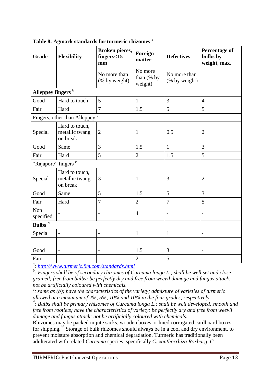| Grade                         | <b>Flexibility</b>                           | <b>Broken pieces,</b><br>fingers<15<br>mm | Foreign<br>matter                  | <b>Defectives</b>             | <b>Percentage of</b><br>bulbs by<br>weight, max. |  |  |
|-------------------------------|----------------------------------------------|-------------------------------------------|------------------------------------|-------------------------------|--------------------------------------------------|--|--|
|                               |                                              | No more than<br>(% by weight)             | No more<br>than $(%$ by<br>weight) | No more than<br>(% by weight) |                                                  |  |  |
| Alleppey fingers <sup>b</sup> |                                              |                                           |                                    |                               |                                                  |  |  |
| Good                          | Hard to touch                                | 5                                         | $\mathbf{1}$                       | 3                             | $\overline{4}$                                   |  |  |
| Fair                          | Hard                                         | $\overline{7}$                            | 1.5                                | 5                             | 5                                                |  |  |
|                               | Fingers, other than Alleppey $\overline{b}$  |                                           |                                    |                               |                                                  |  |  |
| Special                       | Hard to touch,<br>metallic twang<br>on break | $\overline{2}$                            | $\mathbf{1}$                       | 0.5                           | $\overline{2}$                                   |  |  |
| Good                          | Same                                         | 3                                         | 1.5                                | $\mathbf{1}$                  | 3                                                |  |  |
| Fair                          | Hard                                         | 5                                         | $\overline{2}$                     | 1.5                           | 5                                                |  |  |
| "Rajapore" fingers c          |                                              |                                           |                                    |                               |                                                  |  |  |
| Special                       | Hard to touch,<br>metallic twang<br>on break | 3                                         | 1                                  | 3                             | $\overline{2}$                                   |  |  |
| Good                          | Same                                         | 5                                         | 1.5                                | 5                             | 3                                                |  |  |
| Fair                          | Hard                                         | $\overline{7}$                            | $\overline{2}$                     | $\overline{7}$                | 5                                                |  |  |
| Non<br>specified              |                                              |                                           | $\overline{4}$                     | $\qquad \qquad -$             |                                                  |  |  |
| Bulbs <sup>d</sup>            |                                              |                                           |                                    |                               |                                                  |  |  |
| Special                       | $\frac{1}{2}$                                | $\overline{\phantom{0}}$                  | $\mathbf{1}$                       | $\mathbf{1}$                  |                                                  |  |  |
|                               |                                              |                                           |                                    |                               |                                                  |  |  |
| Good                          | $\overline{\phantom{a}}$                     | $\overline{\phantom{0}}$                  | 1.5                                | 3                             | $\overline{\phantom{0}}$                         |  |  |
| Fair                          |                                              |                                           | $\sqrt{2}$                         | 5                             |                                                  |  |  |

**Table 8: Agmark standards for turmeric rhizomes <sup>a</sup>**

*a :<http://www.turmeric.8m.com/standards.html>*

*b : Fingers shall be of secondary rhizomes of Curcuma longa L.; shall be well set and close grained; free from bulbs; be perfectly dry and free from weevil damage and fungus attack; not be artificially coloured with chemicals.*

*c : same as (b); have the characteristics of the variety; admixture of varieties of turmeric allowed at a maximum of 2%, 5%, 10% and 10% in the four grades, respectively.*

*d : Bulbs shall be primary rhizomes of Curcuma longa L.; shall be well developed, smooth and free from rootlets; have the characteristics of variety; be perfectly dry and free from weevil damage and fungus attack; not be artificially coloured with chemicals.*

Rhizomes may be packed in jute sacks, wooden boxes or lined corrugated cardboard boxes for shipping.<sup>56</sup> Storage of bulk rhizomes should always be in a cool and dry environment, to prevent moisture absorption and chemical degradation. Turmeric has traditionally been adulterated with related *Curcuma* species, specifically *C. xanthorrhiza Roxburg*, *C.*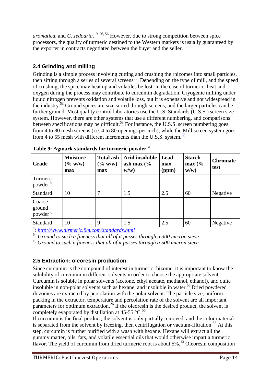*aromatica*, and *C. zedoaria*. 19, 26, 56 However, due to strong competition between spice processors, the quality of turmeric destined to the Western markets is usually guaranteed by the exporter in contracts negotiated between the buyer and the seller.

# <span id="page-14-0"></span>**2.4 Grinding and milling**

Grinding is a simple process involving cutting and crushing the rhizomes into small particles, then sifting through a series of several screens<sup>53</sup>. Depending on the type of mill, and the speed of crushing, the spice may heat up and volatiles be lost. In the case of turmeric, heat and oxygen during the process may contribute to curcumin degradation. Cryogenic milling under liquid nitrogen prevents oxidation and volatile loss, but it is expensive and not widespread in the industry.<sup>53</sup> Ground spices are size sorted through screens, and the larger particles can be further ground. Most quality control laboratories use the U.S. Standards (U.S.S.) screen size system. However, there are other systems that use a different numbering, and comparisons between specifications may be difficult.<sup>53</sup> For instance, the U.S.S. screen numbering goes from 4 to 80 mesh screens (i.e. 4 to 80 openings per inch), while the Mill screen system goes from 4 to 55 mesh with different increments than the U.S.S. system. **[7](http://www.fao.org/inpho/content/compend/text/ch29/ch29_02.htm#note7)**

| Grade                                   | <b>Moisture</b><br>$(\% w/w)$<br>max | <b>Total ash</b><br>$(\% w/w)$<br>max | <b>Acid insoluble</b><br>ash max $\frac{6}{6}$<br>w/w) | Lead<br>max<br>(ppm) | <b>Starch</b><br>$max($ %<br>$w/w$ ) | <b>Chromate</b><br>test |
|-----------------------------------------|--------------------------------------|---------------------------------------|--------------------------------------------------------|----------------------|--------------------------------------|-------------------------|
| Turmeric<br>powder <sup>b</sup>         |                                      |                                       |                                                        |                      |                                      |                         |
| Standard                                | 10                                   | 7                                     | 1.5                                                    | 2.5                  | 60                                   | Negative                |
| Coarse<br>ground<br>powder <sup>c</sup> |                                      |                                       |                                                        |                      |                                      |                         |
| Standard                                | 10                                   | 9                                     | 1.5                                                    | 2.5                  | 60                                   | Negative                |

**Table 9: Agmark standards for turmeric powder <sup>a</sup>**

*a : http://www.turmeric.8m.com/standards.html*

*b : Ground to such a fineness that all of it passes through a 300 micron sieve*

*c : Ground to such a fineness that all of it passes through a 500 micron sieve*

# <span id="page-14-1"></span>**2.5 Extraction: oleoresin production**

Since curcumin is the compound of interest in turmeric rhizome, it is important to know the solubility of curcumin in different solvents in order to choose the appropriate solvent. Curcumin is soluble in polar solvents (acetone, ethyl acetate, methanol, ethanol), and quite insoluble in non-polar solvents such as hexane, and insoluble in water.<sup>55</sup> Dried powdered rhizomes are extracted by percolation with the polar solvent. The particle size, uniform packing in the extractor, temperature and percolation rate of the solvent are all important parameters for optimum extraction.<sup>26</sup> If the oleoresin is the desired product, the solvent is completely evaporated by distillation at 45-55  $^{\circ}$ C.<sup>56</sup>

If curcumin is the final product, the solvent is only partially removed, and the color material is separated from the solvent by freezing, then centrifugation or vacuum-filtration.<sup>55</sup> At this step, curcumin is further purified with a wash with hexane. Hexane will extract all the gummy matter, oils, fats, and volatile essential oils that would otherwise impart a turmeric flavor. The yield of curcumin from dried turmeric root is about  $5\%$ .<sup>13</sup> Oleoresin composition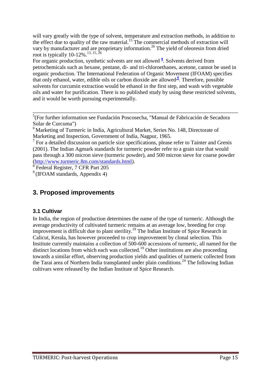will vary greatly with the type of solvent, temperature and extraction methods, in addition to the effect due to quality of the raw material.<sup>15</sup> The commercial methods of extraction will vary by manufacturer and are proprietary information.<sup>26</sup> The yield of oleoresin from dried root is typically  $10-12\%$ .<sup>13, 15, 26</sup>

For organic production, synthetic solvents are not allowed **<sup>8</sup>** [.](http://www.fao.org/inpho/content/compend/text/ch29/ch29_02.htm#note8) Solvents derived from petrochemicals such as hexane, pentane, di- and tri-chloroethanes, acetone, cannot be used in organic production. The International Federation of Organic Movement (IFOAM) specifies that only ethanol, water, edible oils or carbon dioxide are allowed<sup>[9](http://www.fao.org/inpho/content/compend/text/ch29/ch29_02.htm#note9)</sup>. Therefore, possible solvents for curcumin extraction would be ethanol in the first step, and wash with vegetable oils and water for purification. There is no published study by using these restricted solvents, and it would be worth pursuing experimentally.

<sup>7</sup> For a detailed discussion on particle size specifications, please refer to Tainter and Grenis (2001). The Indian Agmark standards for turmeric powder refer to a grain size that would pass through a 300 micron sieve (turmeric powder), and 500 micron sieve for coarse powder [\(http://www.turmeric.8m.com/standards.html\)](http://www.turmeric.8m.com/standards.html).

8 Federal Register, 7 CFR Part 205

 $\frac{9}{9}$ (IFOAM standards, Appendix 4)

# <span id="page-15-0"></span>**3. Proposed improvements**

#### <span id="page-15-1"></span>**3.1 Cultivar**

In India, the region of production determines the name of the type of turmeric. Although the average productivity of cultivated turmeric remains at an average low, breeding for crop improvement is difficult due to plant sterility.<sup>19</sup> The Indian Institute of Spice Research in Calicut, Kerala, has however proceeded to crop improvement by clonal selection. This Institute currently maintains a collection of 500-600 accessions of turmeric, all named for the distinct locations from which each was collected.<sup>19</sup> Other institutions are also proceeding towards a similar effort, observing production yields and qualities of turmeric collected from the Tarai area of Northern India transplanted under plain conditions.<sup>24</sup> The following Indian cultivars were released by the Indian Institute of Spice Research.

<sup>5</sup> (For further information see Fundación Poscosecha, "Manual de Fabricación de Secadora Solar de Curcuma")

 $6$  Marketing of Turmeric in India, Agricultural Market, Series No. 148, Directorate of Marketing and Inspection, Government of India, Nagpur, 1965.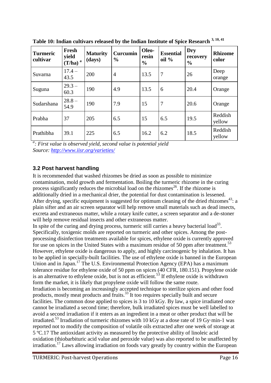| <b>Turmeric</b><br>cultivar | Fresh<br>yield<br>a<br>(T/ha) | <b>Maturity</b><br>(days) | Curcumin<br>$\frac{0}{0}$ | Oleo-<br>resin<br>$\frac{0}{0}$ | <b>Essential</b><br>$oil\%$ | <b>Dry</b><br>recovery<br>$\frac{0}{0}$ | <b>Rhizome</b><br>color |
|-----------------------------|-------------------------------|---------------------------|---------------------------|---------------------------------|-----------------------------|-----------------------------------------|-------------------------|
| Suvarna                     | $17.4 -$<br>43.5              | 200                       | $\overline{4}$            | 13.5                            | $\overline{7}$              | 26                                      | Deep<br>orange          |
| Suguna                      | $29.3 -$<br>60.3              | 190                       | 4.9                       | 13.5                            | 6                           | 20.4                                    | Orange                  |
| Sudarshana                  | $28.8 -$<br>54.9              | 190                       | 7.9                       | 15                              | 7                           | 20.6                                    | Orange                  |
| Prabha                      | 37                            | 205                       | 6.5                       | 15                              | 6.5                         | 19.5                                    | Reddish<br>yellow       |
| Prathibha                   | 39.1                          | 225                       | 6.5                       | 16.2                            | 6.2                         | 18.5                                    | Reddish<br>yellow       |

**Table 10: Indian cultivars released by the Indian Institute of Spice Research 3, 10, 41**

*a : First value is observed yield, second value is potential yield Source:<http://www.iisr.org/varieties/>*

# <span id="page-16-0"></span>**3.2 Post harvest handling**

It is recommended that washed rhizomes be dried as soon as possible to minimize contamination, mold growth and fermentation. Boiling the turmeric rhizome in the curing process significantly reduces the microbial load on the rhizomes<sup>26</sup>. If the rhizome is additionally dried in a mechanical drier, the potential for dust contamination is lessened. After drying, specific equipment is suggested for optimum cleaning of the dried rhizomes<sup>43</sup>: a plain sifter and an air screen separator will help remove small materials such as dead insects, excreta and extraneous matter, while a rotary knife cutter, a screen separator and a de-stoner will help remove residual insects and other extraneous matter.

In spite of the curing and drying process, turmeric still carries a heavy bacterial  $load^{33}$ . Specifically, toxigenic molds are reported on turmeric and other spices. Among the postprocessing disinfection treatments available for spices, ethylene oxide is currently approved for use on spices in the United States with a maximum residue of 50 ppm after treatment.<sup>53</sup> However, ethylene oxide is dangerous to apply, and highly carcinogenic by inhalation. It has to be applied in specially-built facilities. The use of ethylene oxide is banned in the European Union and in Japan.<sup>17</sup> The U.S. Environmental Protection Agency (EPA) has a maximum tolerance residue for ethylene oxide of 50 ppm on spices (40 CFR, 180.151). Propylene oxide is an alternative to ethylene oxide, but is not as efficient.<sup>53</sup> If ethylene oxide is withdrawn form the market, it is likely that propylene oxide will follow the same route. Irradiation is becoming an increasingly accepted technique to sterilize spices and other food products, mostly meat products and fruits.<sup>33</sup> It too requires specially built and secure facilities. The common dose applied to spices is 3 to 10 kGy. By law, a spice irradiated once cannot be irradiated a second time; therefore, bulk irradiated spices must be well labelled to avoid a second irradiation if it enters as an ingredient in a meat or other product that will be irradiated.<sup>53</sup> Irradiation of turmeric rhizomes with 10 kGy at a dose rate of 19 Gy·min-1 was reported not to modify the composition of volatile oils extracted after one week of storage at 5 ºC.17 The antioxidant activity as measured by the protective ability of linoleic acid oxidation (thiobarbituric acid value and peroxide value) was also reported to be unaffected by irradiation.<sup>17</sup> Laws allowing irradiation on foods vary greatly by country within the European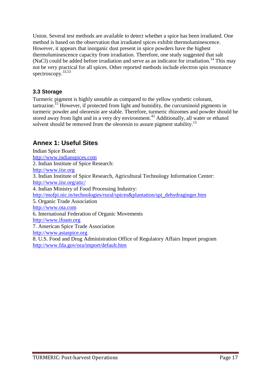Union. Several test methods are available to detect whether a spice has been irradiated. One method is based on the observation that irradiated spices exhibit thermoluminescence. However, it appears that inorganic dust present in spice powders have the highest thermoluminescence capacity from irradiation. Therefore, one study suggested that salt (NaCl) could be added before irradiation and serve as an indicator for irradiation.<sup>14</sup> This may not be very practical for all spices. Other reported methods include electron spin resonance spectroscopy.<sup>33,53</sup>

# <span id="page-17-0"></span>**3.3 Storage**

Turmeric pigment is highly unstable as compared to the yellow synthetic colorant,  $\arctan^{-15}$  However, if protected from light and humidity, the curcuminoid pigments in turmeric powder and oleoresin are stable. Therefore, turmeric rhizomes and powder should be stored away from light and in a very dry environment.<sup>43</sup> Additionally, all water or ethanol solvent should be removed from the oleoresin to assure pigment stability.<sup>15</sup>

# <span id="page-17-1"></span>**Annex 1: Useful Sites**

Indian Spice Board: [http://www.indianspices.com](http://www.indianspices.com/) 2. Indian Institute of Spice Research: [http://www.iisr.org](http://www.iisr.org/) 3. Indian Institute of Spice Research, Agricultural Technology Information Center: <http://www.iisr.org/atic/> 4. Indian Ministry of Food Processing Industry: [http://mofpi.nic.in/technologies/rural/spices&plantation/spi\\_dehydraginger.htm](http://mofpi.nic.in/technologies/rural/spices&plantation/spi_dehydraginger.htm) 5. Organic Trade Association [http://www.ota.com](http://www.ota.com/) 6. International Federation of Organic Movements [http://www.ifoam.org](http://www.ifoam.org/) 7. American Spice Trade Association [http://www.astaspice.org](http://www.astaspice.org/) 8. U.S. Food and Drug Administration Office of Regulatory Affairs Import program <http://www.fda.gov/ora/import/default.htm>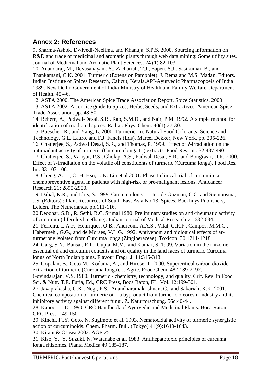# <span id="page-18-0"></span>**Annex 2: References**

9. Sharma-Ashok, Dwivedi-Neelima, and Khanuja, S.P.S. 2000. Sourcing information on R&D and trade of medicinal and aromatic plants through web data mining: Some utility sites. Journal of Medicinal and Aromatic Plant Sciences. 24 (1):82-103.

10. Anandaraj, M., Devasahayam, S., Zachariah, T.J., Eapen, S.J., Sasikumar, B., and Thankamani, C.K. 2001. Turmeric (Extension Pamphlet). J. Rema and M.S. Madan, Editors. Indian Institute of Spices Research, Calicut, Kerala.API-Ayurvedic Pharmacopoeia of India 1989. New Delhi: Government of India-Ministry of Health and Family Welfare-Department of Health. 45-46.

12. ASTA 2000. The American Spice Trade Association Report, Spice Statistics, 2000 13. ASTA 2002. A concise guide to Spices, Herbs, Seeds, and Extractives. American Spice Trade Association. pp. 48-50.

14. Behere, A., Padwal-Desai, S.R., Rao, S.M.D., and Nair, P.M. 1992. A simple method for identification of irradiated spices. Radiat. Phys. Chem. 40(1):27-30.

15. Buescher, R., and Yang, L. 2000. Turmeric. In: Natural Food Colorants. Science and Technology. G.L. Lauro, and F.J. Fancis (Eds). Marcel Dekker, New York. pp. 205-226. 16. Chatterjee, S., Padwal Desai, S.R., and Thomas, P. 1999. Effect of ?-irradiation on the antioxidant activity of turmeric (Curcuma longa L.) extracts. Food Res. Int. 32:487-490. 17. Chatterjee, S., Variyar, P.S., Gholap, A.S., Padwal-Desai, S.R., and Bongiwar, D.R. 2000. Effect of ?-irradiation on the volatile oil constituents of turmeric (Curcuma longa). Food Res. Int. 33:103-106.

18. Cheng, A.-L., C.-H. Hsu, J.-K. Lin et al 2001. Phase I clinical trial of curcumin, a chemopreventive agent, in patients with high-risk or pre-malignant lesions. Anticancer Research 21: 2895-2900.

19. Dahal, K.R., and Idris, S. 1999. Curcuma longa L. In : de Guzman, C.C. and Siemonsma, J.S. (Editors) : Plant Resources of South-East Asia No 13. Spices. Backhuys Publishers, Leiden, The Netherlands. pp.111-116.

20 Deodhar, S.D., R. Sethi, R.C. Srimal 1980. Preliminary studies on anti-rheumatic activity of curcumin (diferuloyl methane). Indian Journal of Medical Research 71:632-634.

21. Ferreira, L.A.F., Henriques, O.B., Andreoni, A.A.S., Vital, G.R.F., Campos, M.M.C., Habermehl, G.G., and de Moraes, V.L.G. 1992. Antivenom and biological effects of arturmerone isolated from Curcuma longa (Zingiberaceae). Toxicon. 30:1211-1218.

24. Garg, S.N., Bansal, R.P., Gupta, M.M., and Kumar, S. 1999. Variation in the rhizome essential oil and curcumin contents and oil quality in the land races of turmeric Curcuma longa of North Indian plains. Flavour Fragr. J. 14:315-318.

25. Gopalan, B., Goto M., Kodama, A., and Hirose, T. 2000. Supercritical carbon dioxide extraction of turmeric (Curcuma longa). J. Agric. Food Chem. 48:2189-2192.

Govindarajan, V.S. 1980. Turmeric - chemistry, technology, and quality. Crit. Rev. in Food Sci. & Nutr. T.E. Furia, Ed., CRC Press, Boca Raton, FL. Vol. 12:199-301.

27. Jayaprakasha, G.K., Negi, P.S., Anandharamakrishnan, C., and Sakariah, K.K. 2001. Chemical composition of turmeric oil - a byproduct from turmeric oleoresin industry and its inhibitory activity against different fungi. Z. Naturforschung. 56c:40-44.

28. Kapoor, L.D. 1990. CRC Handbook of Ayurvedic and Medicinal Plants. Boca Raton, CRC Press. 149-150.

29. Kinchi, F.,Y. Goto, N. Sugimoto et al. 1993. Nematocidal activity of turmeric synergistic action of curcuminoids. Chem. Pharm. Bull. (Tokyo) 41(9):1640-1643.

30. Kitani & Osawa 2002. AGE 25.

31. Kiso, Y., Y. Suzuki, N. Watanabe et al. 1983. Antihepatotoxic principles of curcuma longa rhizomes. Planta Medica 49:185-187.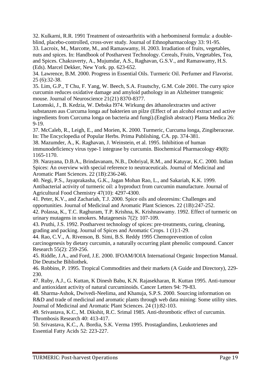32. Kulkarni, R.R. 1991 Treatment of osteoarthritis with a herbomineral formula: a doubleblind, placebo-controlled, cross-over study. Journal of Ethnopharmacology 33: 91-95.

33. Lacroix, M., Marcotte, M., and Ramaswamy, H. 2003. Irradiation of fruits, vegetables, nuts and spices. In: Handbook of Postharvest Technology. Cereals, Fruits, Vegetables, Tea, and Spices. Chakraverty, A., Mujumdar, A.S., Raghavan, G.S.V., and Ramaswamy, H.S. (Eds). Marcel Dekker, New York. pp. 623-652.

34. Lawrence, B.M. 2000. Progress in Essential Oils. Turmeric Oil. Perfumer and Flavorist. 25 (6):32-38.

35. Lim, G.P., T Chu, F. Yang, W. Beech, S.A. Frautschy, G.M. Cole 2001. The curry spice curcumin reduces oxidative damage and amyloid pathology in an Alzheimer transgenic mouse. Journal of Neuroscience 21(21) 8370-8377.

Lutomski, J., B. Kedzia, W. Debska l974. Wirkung des äthanolextractes und activer substanzen aus Curcuma longa auf bakterien un pilze (Effect of an alcohol extract and active ingredients from Curcuma longa on bacteria and fungi).(English abstract) Planta Medica 26: 9-19.

37. McCaleb, R., Leigh, E., and Morien, K. 2000. Turmeric, Curcuma longa, Zingiberaceae. In: The Encyclopedia of Popular Herbs. Prima Publishing, CA. pp. 374-381.

38. Mazumder, A., K. Raghavan, J. Weinstein, et al. 1995. Inhibition of human immunodeficiency virus type-1 integrase by curcumin. Biochemical Pharmacology 49(8): 1165-1170.

39. Narayana, D.B.A., Brindavanam, N.B., Dobriyal, R.M., and Katuyar, K.C. 2000. Indian Spices: An overview with special reference to neutraceuticals. Journal of Medicinal and Aromatic Plant Sciences. 22 (1B):236-246.

40. Negi, P.S., Jayaprakasha, G.K., Jagan Mohan Rao, L., and Sakariah, K.K. 1999. Antibacterial activity of turmeric oil: a byproduct from curcumin manufacture. Journal of Agricultural Food Chemistry 47(10): 4297-4300.

41. Peter, K.V., and Zachariah, T.J. 2000. Spice oils and oleoresins: Challenges and opportunities. Journal of Medicinal and Aromatic Plant Sciences. 22 (1B):247-252.

42. Polassa, K., T.C. Raghuram, T.P. Krishna, K. Krishnaswamy. 1992. Effect of turmeric on urinary mutagens in smokers. Mutagenesis 7(2): 107-109.

43. Pruthi, J.S. 1992. Postharvest technology of spices: pre-treatments, curing, cleaning, grading and packing. Journal of Spices and Aromatic Crops. 1 (1):1-29.

44. Rao, C.V., A. Rivenson, B. Simi, B.S. Reddy 1995 Chemoprevention of colon carcinogenesis by dietary curcumin, a naturally occurring plant phenolic compound. Cancer Research 55(2): 259-256.

45. Riddle, J.A., and Ford, J.E. 2000. IFOAM/IOIA International Organic Inspection Manual. Die Deutsche Bibliothek.

46. Robbins, P. 1995. Tropical Commodities and their markets (A Guide and Directory), 229- 230.

47. Ruby, A.J., G. Kuttan, K Dinesh Babu, K.N. Rajasekharan, R. Kuttan 1995. Anti-tumour and antioxidant activity of natural curcuminoids. Cancer Letters 94: 79-83.

48. Sharma-Ashok, Dwivedi-Neelima, and Khanuja, S.P.S. 2000. Sourcing information on R&D and trade of medicinal and aromatic plants through web data mining: Some utility sites. Journal of Medicinal and Aromatic Plant Sciences. 24 (1):82-103.

49. Srivastava, K.C., M. Dikshit, R.C. Srimal 1985. Anti-thrombotic effect of curcumin. Thrombosis Research 40: 413-417.

50. Srivastava, K.C., A. Bordia, S.K. Verma 1995. Prostaglandins, Leukotrienes and Essential Fatty Acids 52: 223-227.